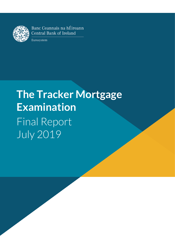

**T**: +353 (0)1 224 6000

Banc Ceannais na hÉireann **Central Bank of Ireland** 

Eurosystem

# **The Tracker Mortgage Examination** Final Report July 2019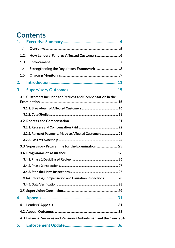## **Contents**

| 1.                                                              |  |  |
|-----------------------------------------------------------------|--|--|
| 1.1.                                                            |  |  |
| 1.2.                                                            |  |  |
| 1.3.                                                            |  |  |
| Strengthening the Regulatory Framework  8<br>1.4.               |  |  |
| 1.5.                                                            |  |  |
| 2.                                                              |  |  |
| 3.                                                              |  |  |
| 3.1. Customers included for Redress and Compensation in the     |  |  |
|                                                                 |  |  |
|                                                                 |  |  |
|                                                                 |  |  |
|                                                                 |  |  |
|                                                                 |  |  |
| 3.2.2. Range of Payments Made to Affected Customers 23          |  |  |
|                                                                 |  |  |
| 3.3. Supervisory Programme for the Examination 25               |  |  |
|                                                                 |  |  |
|                                                                 |  |  |
|                                                                 |  |  |
|                                                                 |  |  |
| 3.4.4. Redress, Compensation and Causation Inspections  28      |  |  |
|                                                                 |  |  |
|                                                                 |  |  |
| 4.                                                              |  |  |
|                                                                 |  |  |
|                                                                 |  |  |
| 4.3. Financial Services and Pensions Ombudsman and the Courts34 |  |  |
| 5.                                                              |  |  |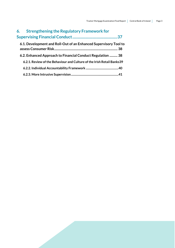| 6. Strengthening the Regulatory Framework for                          |    |
|------------------------------------------------------------------------|----|
|                                                                        | 37 |
| 6.1. Development and Roll-Out of an Enhanced Supervisory Tool to       |    |
| 6.2. Enhanced Approach to Financial Conduct Regulation  38             |    |
| 6.2.1. Review of the Behaviour and Culture of the Irish Retail Banks39 |    |
|                                                                        |    |
|                                                                        |    |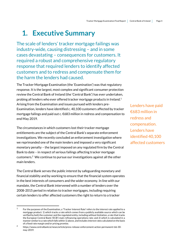## <span id="page-3-0"></span>**1. Executive Summary**

The scale of lenders' tracker mortgage failings was industry-wide, causing distressing – and in some cases devastating – consequences for customers. It required a robust and comprehensive regulatory response that required lenders to identify affected customers and to redress and compensate them for the harm the lenders had caused.

The Tracker Mortgage Examination (the 'Examination') was that regulatory response. It is the largest, most complex and significant consumer protection review the Central Bank of Ireland (the 'Central Bank') has ever undertaken, probing all lenders who ever offered tracker mortgage products in Ireland.<sup>1</sup> Arising from the Examination and issues pursued with lenders pre-Examination, lenders have identified c. 40,100 customers affected by tracker mortgage failings and paid out c. €683 million in redress and compensation to end May 2019.

The circumstances in which customers lost their tracker mortgage entitlements are the subject of the Central Bank's separate enforcement investigations. We recently concluded an enforcement investigation where we reprimanded one of the main lenders and imposed a very significant monetary penalty – the largest imposed on any regulated firm by the Central Bank to date – in respect of serious failings affecting tracker mortgage customers. <sup>2</sup> We continue to pursue our investigations against all the other main lenders.

The Central Bank serves the public interest by safeguarding monetary and financial stability and by working to ensure that the financial system operates in the best interests of consumers and the wider economy. In line with our mandate, the Central Bank intervened with a number of lenders over the 2008-2015 period in relation to tracker mortgages, including requiring certain lenders to offer affected customers the right to return to a tracker

.

Lenders have paid €683 million in redress and compensation. Lenders have identified 40,100 affected customers

<sup>1</sup> For the purposes of the Examination, a 'Tracker Interest Rate**'** refers to the interest rate applied to a mortgage product: 1) which tracks a rate which comes from a publicly available source which can be verified by both the customer and the regulated entity, including without limitation, a rate that tracks the European Central Bank ('ECB') main refinancing operations rate; and 2) which is calculated in a manner similar to a rate which falls within 1) above, and includes interest rates calculated on the basis of a fixed rate margin and/or pricing promise.

 $\mathcal{D}$ https://www.centralbank.ie/news/article/press-release-enforcement-action-permanent-tsb-30 may-2019.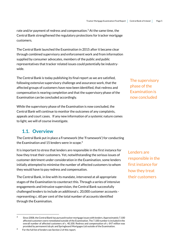rate and/or payment of redress and compensation. <sup>3</sup> At the same time, the Central Bank strengthened the regulatory protections for tracker mortgage customers.

The Central Bank launched the Examination in 2015 after it became clear through combined supervisory and enforcement work and from information supplied by consumer advocates, members of the public and public representatives that tracker related issues could potentially be industrywide.

The Central Bank is today publishing its final report as we are satisfied, following extensive supervisory challenge and assurance work, that the affected groups of customers have now been identified, that redress and compensation is nearing completion and that the supervisory phase of the Examination can be concluded accordingly.

While the supervisory phase of the Examination is now concluded, the Central Bank will continue to monitor the outcomes of any complaints, appeals and court cases. If any new information of a systemic nature comes to light, we will of course investigate.

### <span id="page-4-0"></span>**1.1. Overview**

The Central Bank put in place a Framework (the 'Framework') for conducting the Examination and 15 lenders were in scope. 4

It is important to stress that lenders are responsible in the first instance for how they treat their customers. Yet, notwithstanding the serious issues of customer detriment under consideration in the Examination, some lenders initially attempted to minimise the number of affected customers to whom they would have to pay redress and compensation.

The Central Bank, in line with its mandate, intervened at all appropriate stages of the Examination to counteract this. Through a series of intensive engagements and intrusive supervision, the Central Bank successfully challenged lenders to include an additional c. 20,000 customer accounts representing c. 60 per cent of the total number of accounts identified through the Examination.

.

The supervisory phase of the Examination is now concluded

Lenders are responsible in the first instance for how they treat their customers

<sup>&</sup>lt;sup>3</sup> Since 2008, the Central Bank has pursued tracker mortgage issues with lenders. Approximately 7,100 affected customers were remediated outside of the Examination. The 7,100 number is included in the overall number of affected customers of c. 40,100. Redress and compensation of c. €47 million was provided by permanent tsb plc and Springboard Mortgages Ltd outside of the Examination.

<sup>4</sup>  For the full list of lenders see Section 2 of this report.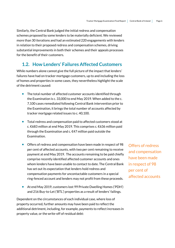Similarly, the Central Bank judged the initial redress and compensation schemes proposed by some lenders to be materially deficient. We reviewed more than 30 iterations and had an estimated 220 engagements with lenders in relation to their proposed redress and compensation schemes, driving substantial improvements in both their schemes and their appeals processes for the benefit of their customers.

## <span id="page-5-0"></span>**1.2. How Lenders' Failures Affected Customers**

While numbers alone cannot give the full picture of the impact that lenders' failures have had on tracker mortgage customers, up to and including the loss of homes and properties in some cases, they nevertheless highlight the scale of the detriment caused:

- The total number of affected customer accounts identified through the Examination is c. 33,000 to end May 2019. When added to the c. 7,100 cases remediated following Central Bank intervention prior to the Examination, it brings the total number of accounts affected by tracker mortgage related issues to c. 40,100.
- Total redress and compensation paid to affected customers stood at c. €683 million at end May 2019. This comprises c. €636 million paid through the Examination and c. €47 million paid outside the Examination.
- Offers of redress and compensation have been made in respect of 98 per cent of affected accounts, with two per cent remaining to receive payment at end May 2019. The accounts remaining to be paid chiefly comprise recently identified affected customer accounts and ones whom lenders have been unable to contact to date. The Central Bank has set out its expectation that lenders hold redress and compensation payments for uncontactable customers in a special ring-fenced account and lenders may not profit from these proceeds.
- At end May 2019, customers lost 99 Private Dwelling Homes ('PDH') and 216 Buy-to-Let ('BTL') properties as a result of lenders' failings.

Dependent on the circumstances of each individual case, where loss of property occurred, further amounts may have been paid to reflect the additional detriment, including, for example, payments to reflect increases in property value, or the write-off of residual debt:

Offers of redress and compensation have been made in respect of 98 per cent of affected accounts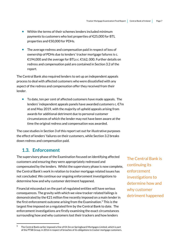- Within the terms of their schemes lenders included minimum payments to customers who lost properties of €25,000 for BTL properties and €50,000 for PDHs.
- The average redress and compensation paid in respect of loss of ownership of PDHs due to lenders' tracker mortgage failures is c. €194,000 and the average for BTLs c. €162, 000. Further details on redress and compensation paid are contained in Section 3.2 of the report.

The Central Bank also required lenders to set up an independent appeals process to deal with affected customers who were dissatisfied with any aspect of the redress and compensation offer they received from their lender.

 To date, ten per cent of affected customers have made appeals. The lenders' independent appeals panels have awarded customers c. €7m at end May 2019, with the majority of upheld appeals arising from awards for additional detriment due to personal customer circumstances of which the lender may not have been aware at the time the original redress and compensation was awarded.

The case studies in Section 3 of this report set out for illustrative purposes the effect of lenders' failures on their customers, while Section 3.2 breaks down redress and compensation paid.

## <span id="page-6-0"></span>**1.3. Enforcement**

.

The supervisory phase of the Examination focused on identifying affected customers and ensuring they were appropriately redressed and compensated by the lenders. Whilst the supervisory phase is now complete, the Central Bank's work in relation to tracker mortgage related issues has not concluded. We continue our ongoing enforcement investigations to determine how and why customer detriment happened.

Financial misconduct on the part of regulated entities will have serious consequences. The gravity with which we view tracker related failings is demonstrated by the €21 million fine recently imposed on a main lender in the first enforcement outcome arising from the Examination. <sup>5</sup> This is the largest fine imposed on a regulated firm by the Central Bank to date. The enforcement investigations are firstly examining the exact circumstances surrounding how and why customers lost their trackers and how lenders

The Central Bank is continuing its enforcement investigations to determine how and why customer detriment happened

<sup>5</sup> The Central Bank earlier imposed a fine of €4.5m on Springboard Mortgages Limited, which is part of the PTSB Group, in 2016 in respect of breaches of its obligations to tracker mortgage customers.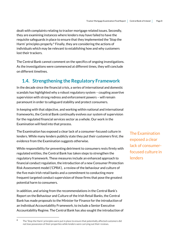dealt with complaints relating to tracker mortgage related issues. Secondly, they are examining instances where lenders may have failed to have the requisite safeguards in place to ensure that they implemented the 'Stop the Harm' principles properly.<sup>6</sup> Finally, they are considering the actions of individuals which may be relevant to establishing how and why customers lost their trackers.

The Central Bank cannot comment on the specifics of ongoing investigations. As the investigations were commenced at different times, they will conclude on different timelines.

## <span id="page-7-0"></span>**1.4. Strengthening the Regulatory Framework**

In the decade since the financial crisis, a series of international and domestic scandals has highlighted why a robust regulatory system – coupling assertive supervision with strong redress and enforcement powers – will remain paramount in order to safeguard stability and protect consumers.

In keeping with that objective, and working within national and international frameworks, the Central Bank continually evolves our system of supervision for the regulated financial services sector as a whole. Our work in the Examination will feed into that process.

The Examination has exposed a clear lack of a consumer-focused culture in lenders. While many lenders publicly state they put their customers first, the evidence from the Examination suggests otherwise.

While responsibility for preventing detriment to consumers rests firmly with regulated entities, the Central Bank has taken steps to strengthen the regulatory framework. These measures include an enhanced approach to financial conduct regulation, the introduction of a new Consumer Protection Risk Assessment model ('CPRA'), a review of the behaviour and culture of the five main Irish retail banks and a commitment to conducting more frequent targeted conduct supervision of those firms that pose the greatest potential harm to consumers.

In addition, and arising from the recommendations in the Central Bank's Report on the Behaviour and Culture of the Irish Retail Banks, the Central Bank has made proposals to the Minister for Finance for the introduction of an Individual Accountability Framework, to include a Senior Executive Accountability Regime. The Central Bank has also sought the introduction of

1

The Examination exposed a clear lack of consumerfocused culture in **lenders** 

<sup>6</sup> The 'Stop the Harm' principles were put in place to ensure that potentially affected customers did not lose possession of their properties while lenders were carrying out their reviews.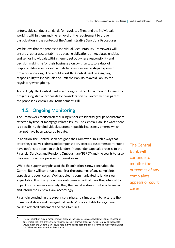enforceable conduct standards for regulated firms and the individuals working within them and the removal of the requirement to prove participation in the context of the Administrative Sanctions Procedures.<sup>7</sup>

We believe that the proposed Individual Accountability Framework will ensure greater accountability by placing obligations on regulated entities and senior individuals within them to set out where responsibility and decision making lie for their business along with a statutory duty of responsibility on senior individuals to take reasonable steps to prevent breaches occurring. This would assist the Central Bank in assigning responsibility to individuals and limit their ability to avoid liability for regulatory wrongdoing.

Accordingly, the Central Bank is working with the Department of Finance to progress legislative proposals for consideration by Government as part of the proposed Central Bank (Amendment) Bill.

## <span id="page-8-0"></span>**1.5. Ongoing Monitoring**

1

The Framework focused on requiring lenders to identify groups of customers affected by tracker mortgage related issues. The Central Bank is aware there is a possibility that individual, customer-specific issues may emerge which may not have been captured to date.

In addition, the Central Bank designed the Framework in such a way that after they receive redress and compensation, affected customers continue to have options to appeal to their lenders' independent appeals process, to the Financial Services and Pensions Ombudsman ('FSPO') and the courts to raise their own individual personal circumstances.

While the supervisory phase of the Examination is now concluded, the Central Bank will continue to monitor the outcomes of any complaints, appeals and court cases. We have clearly communicated to lenders our expectation that if any individual outcomes arise that have the potential to impact customers more widely, they then must address this broader impact and inform the Central Bank accordingly.

Finally, in concluding the supervisory phase, it is important to reiterate the immense distress and damage that lenders' unacceptable failings have caused affected customers and their families.

The Central Bank will continue to monitor the outcomes of any complaints, appeals or court cases

<sup>7</sup> The participation hurdle means that, at present, the Central Bank can hold individuals to account only where they are proven to have participated in a firm's breach of rules. Removing the hurdle would mean the Central Bank could hold individuals to account directly for their misconduct under the Administrative Sanctions Procedure.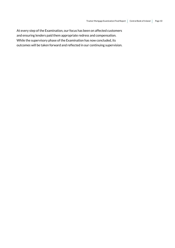At every step of the Examination, our focus has been on affected customers and ensuring lenders paid them appropriate redress and compensation. While the supervisory phase of the Examination has now concluded, its outcomes will be taken forward and reflected in our continuing supervision.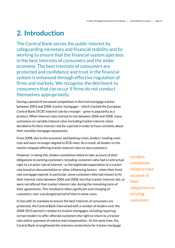## <span id="page-10-0"></span>**2. Introduction**

The Central Bank serves the public interest by safeguarding monetary and financial stability and by working to ensure that the financial system operates in the best interests of consumers and the wider economy. The best interests of consumers are protected and confidence and trust in the financial system is enhanced through effective regulation of firms and markets. We recognise the detriment to consumers that can occur if firms do not conduct themselves appropriately.

During a period of increased competition in the Irish mortgage market between 2003 and 2008, tracker mortgages – which tracked the European Central Bank ('ECB') interest rate by a margin – grew in popularity as a product. When interest rates started to rise between 2006 and 2008, many customers on variable interest rates (including tracker interest rates) decided to fix their interest rate for a period in order to have certainty about their monthly mortgage repayments.

From 2008, due to the economic and banking crises, lenders' funding costs rose and were no longer aligned to ECB rates. As a result, all lenders in the market stopped offering tracker interest rates to new customers.

However, in doing this, lenders sometimes failed to take account of their obligations to existing customers, including customers who had a contractual right to a tracker rate of interest - or the legitimate expectation of a tracker rate based on documentation or other influencing factors - when their fixed rate mortgage expired. In particular, some customers who had chosen to fix their interest rates between 2006 and 2008, lost that tracker interest rate, or were not offered that tracker interest rate, during the remaining term of their agreements. This resulted in often significant overcharging of customers, over a prolonged period of time in some cases.

In line with its mandate to ensure the best interests of consumers are protected, the Central Bank intervened with a number of lenders over the 2008-2015 period in relation to tracker mortgages, including requiring certain lenders to offer affected customers the right to return to a tracker rate and/or payment of redress and compensation. At the same time, the Central Bank strengthened the statutory protections for tracker mortgage Lenders sometimes failed to take account of their obligations to existing customers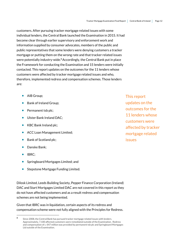customers. After pursuing tracker mortgage related issues with some individual lenders, the Central Bank launched the Examination in 2015. It had become clear through earlier supervisory and enforcement work and information supplied by consumer advocates, members of the public and public representatives that some lenders were denying customers a tracker mortgage or putting them on the wrong rate and that tracker related issues were potentially industry-wide.<sup>8</sup> Accordingly, the Central Bank put in place the Framework for conducting the Examination and 15 lenders were initially contacted. This report updates on the outcomes for the 11 lenders whose customers were affected by tracker mortgage related issues and who, therefore, implemented redress and compensation schemes. Those lenders are:

- AIB Group:
- Bank of Ireland Group:
- Permanent tsb plc;
- **Ulster Bank Ireland DAC:**
- KBC Bank Ireland plc;
- ACC Loan Management Limited;
- Bank of Scotland plc;
- **•** Danske Bank;
- IBRC:

1

- Springboard Mortgages Limited; and
- Stepstone Mortgage Funding Limited.

Dilosk Limited, Leeds Building Society, Pepper Finance Corporation (Ireland) DAC and Start Mortgages Limited DAC are not covered in this report as they do not have affected customers and as a result redress and compensation schemes are not being implemented.

Given that IBRC was in liquidation, certain aspects of its redress and compensation scheme were not fully aligned with the Principles for Redress.

This report updates on the outcomes for the 11 lenders whose customers were affected by tracker mortgage related issues

<sup>8</sup> Since 2008, the Central Bank has pursued tracker mortgage related issues with lenders. Approximately, 7,100 affected customers were remediated outside of the Examination. Redress and compensation of c. €47 million was provided by permanent tsb plc and Springboard Mortgages Ltd outside of the Examination.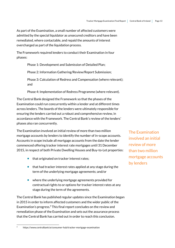As part of the Examination, a small number of affected customers were admitted by the special liquidator as unsecured creditors and have been remediated, where contactable, and repaid the amounts of interest overcharged as part of the liquidation process.

The Framework required lenders to conduct their Examination in four phases:

Phase 1: Development and Submission of Detailed Plan;

Phase 2: Information Gathering/Review/Report Submission;

Phase 3: Calculation of Redress and Compensation (where relevant); and

Phase 4: Implementation of Redress Programme (where relevant).

The Central Bank designed the Framework so that the phases of the Examination could run concurrently within a lender and at different times across lenders. The boards of the lenders were ultimately responsible for ensuring the lenders carried out a robust and comprehensive review, in accordance with the Framework. The Central Bank's review of the lenders' phases also ran concurrently.

The Examination involved an initial review of more than two million mortgage accounts by lenders to identify the number of in-scope accounts. Accounts in scope include all mortgage accounts from the date the lender commenced offering tracker interest rate mortgages until 31 December 2015, in respect of both Private Dwelling Houses and Buy-to-Let properties:

- that originated on tracker interest rates;
- $\bullet$  that had tracker interest rates applied at any stage during the term of the underlying mortgage agreements; and/or
- where the underlying mortgage agreements provided for contractual rights to or options for tracker interest rates at any stage during the term of the agreements.

The Central Bank has published regular updates since the Examination began in 2015 in order to inform affected customers and the wider public of the Examination's progress. <sup>9</sup> This final report concludes on the review and remediation phase of the Examination and sets out the assurance process that the Central Bank has carried out in order to reach this conclusion.

.

The Examination involved an initial review of more than two million mortgage accounts by lenders

<sup>9</sup> https://www.centralbank.ie/consumer-hub/tracker-mortgage-examination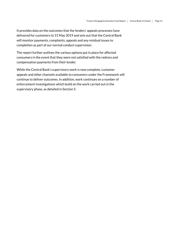It provides data on the outcomes that the lenders' appeals processes have delivered for customers to 31 May 2019 and sets out that the Central Bank will monitor payments, complaints, appeals and any residual issues to completion as part of our normal conduct supervision.

The report further outlines the various options put in place for affected consumers in the event that they were not satisfied with the redress and compensation payments from their lender.

While the Central Bank's supervisory work is now complete, customer appeals and other channels available to consumers under the Framework will continue to deliver outcomes. In addition, work continues on a number of enforcement investigations which build on the work carried out in the supervisory phase, as detailed in Section 5.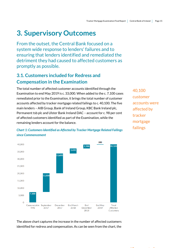## <span id="page-14-0"></span>**3. Supervisory Outcomes**

From the outset, the Central Bank focused on a system wide response to lenders' failures and to ensuring that lenders identified and remediated the detriment they had caused to affected customers as promptly as possible.

## <span id="page-14-1"></span>**3.1. Customers included for Redress and Compensation in the Examination**

The total number of affected customer accounts identified through the Examination to end May 2019 is c. 33,000. When added to the c. 7,100 cases remediated prior to the Examination, it brings the total number of customer accounts affected by tracker mortgage related failings to c. 40,100. The five main lenders – AIB Group, Bank of Ireland Group, KBC Bank Ireland plc, Permanent tsb plc and Ulster Bank Ireland DAC – account for c. 98 per cent of affected customers identified as part of the Examination, while the remaining lenders account for the balance.

40,100 customer accounts were affected by tracker mortgage failings

*Chart 1: Customers Identified as Affected by Tracker Mortgage Related Failings since Commencement*



The above chart captures the increase in the number of affected customers identified for redress and compensation. As can be seen from the chart, the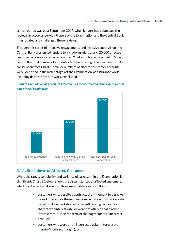critical period was post September 2017, when lenders had submitted their reviews in accordance with Phase 2 of the Examination and the Central Bank interrogated and challenged these reviews.

Through this series of intensive engagements and intrusive supervision, the Central Bank challenged lenders to include an additional c. 20,000 affected customer accounts as reflected in Chart 2 below. This represented c. 60 per cent of the total number of accounts identified through the Examination. As can be seen from Chart 1, smaller numbers of affected customer accounts were identified in the latter stages of the Examination, as assurance work, including data verification work, concluded.





#### <span id="page-15-0"></span>**3.1.1. Breakdown of Affected Customers**

While the range, complexity and variance of cases within the Examination is significant, Chart 3 (below) shows the circumstances of affected customers, which can be broken down into three main categories, as follows:

- customers who, despite a contractual entitlement to a tracker rate of interest, or the legitimate expectation of a tracker rate based on documentation or other influencing factors, lost that tracker interest rate, or were not offered that tracker interest rate, during the term of their agreements ('incorrect product');
- customers who were on an incorrect tracker interest rate margin ('incorrect margin'); and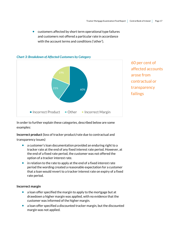$\bullet$  customers affected by short term operational type failures and customers not offered a particular rate in accordance with the account terms and conditions ('other').



#### *Chart 3: Breakdown of Affected Customers by Category*

60 per cent of affected accounts arose from contractual or transparency failings

In order to further explain these categories, described below are some examples:

**Incorrect product** (loss of tracker product/rate due to contractual and transparency issues)

- a customer's loan documentation provided an enduring right to a tracker rate at the end of any fixed interest rate period. However, at the end of a fixed rate period, the customer was not offered the option of a tracker interest rate.
- $\bullet$  in relation to the rate to apply at the end of a fixed interest rate period the wording created a reasonable expectation for a customer that a loan would revert to a tracker interest rate on expiry of a fixed rate period.

#### **Incorrect margin**

- a loan offer specified the margin to apply to the mortgage but at drawdown a higher margin was applied, with no evidence that the customer was informed of the higher margin.
- a loan offer specified a discounted tracker margin, but the discounted margin was not applied.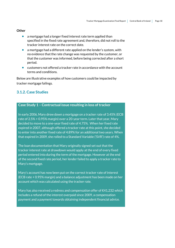#### **Other**

- a mortgage had a longer fixed interest rate term applied than specified in the fixed rate agreement and, therefore, did not roll to the tracker interest rate on the correct date.
- a mortgage had a different rate applied on the lender's system, with no evidence that the rate change was requested by the customer, or that the customer was informed, before being corrected after a short period.
- customers not offered a tracker rate in accordance with the account terms and conditions.

Below are illustrative examples of how customers could be impacted by tracker mortgage failings.

#### <span id="page-17-0"></span>**3.1.2. Case Studies**

#### **Case Study 1 – Contractual issue resulting in loss of tracker**

In early 2006, Mary drew down a mortgage on a tracker rate of 3.45% (ECB rate of 2.5% + 0.95% margin) over a 20-year term. Later that year, Mary decided to move to a one-year fixed rate of 4.75%. When her fixed rate expired in 2007, although offered a tracker rate at this point, she decided to enter into another fixed rate of 4.89% for an additional two years. When that expired in 2009, she rolled to a Standard Variable ('SVR') rate of 4%.

The loan documentation that Mary originally signed set out that the tracker interest rate at drawdown would apply at the end of every fixed period entered into during the term of the mortgage. However at the end of the second fixed rate period, her lender failed to apply a tracker rate to Mary's mortgage.

Mary's account has now been put on the correct tracker rate of interest (ECB rate + 0.95% margin) and a balance adjustment has been made on her account which was calculated using the tracker rate.

Mary has also received a redress and compensation offer of  $E$ 41,232 which includes a refund of the interest overpaid since 2009, a compensation payment and a payment towards obtaining independent financial advice.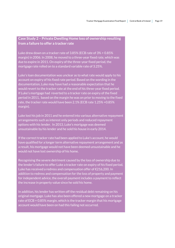#### **Case Study 2 – Private Dwelling Home loss of ownership resulting from a failure to offer a tracker rate**

Luke drew down on a tracker rate of 3.85% (ECB rate of 3% + 0.85% margin) in 2006. In 2008, he moved to a three-year fixed rate, which was due to expire in 2011. On expiry of the three-year fixed period, the mortgage rate rolled on to a standard variable rate of 3.25%.

Luke's loan documentation was unclear as to what rate would apply to his account on expiry of his fixed rate period. Based on the wording in the documentation, Luke may have had a reasonable expectation that he would revert to the tracker rate at the end of his three-year fixed period. If Luke's mortgage had reverted to a tracker rate on expiry of the fixed period in 2011, based on the margin he was on prior to moving to the fixed rate, the tracker rate would have been 2.1% (ECB rate 1.25% +0.85% margin).

Luke lost his job in 2011 and he entered into various alternative repayment arrangements such as interest only periods and reduced repayment options with his lender. In 2013, Luke's mortgage was deemed unsustainable by his lender and he sold his house in early 2014.

If the correct tracker rate had been applied to Luke's account, he would have qualified for a longer term alternative repayment arrangement and as a result, his mortgage would not have been deemed unsustainable and he would not have lost ownership of his home.

Recognising the severe detriment caused by the loss of ownership due to the lender's failure to offer Luke a tracker rate on expiry of his fixed period, Luke has received a redress and compensation offer of €216,200. In addition to redress and compensation for the loss of property and payment for independent advice, the overall payment includes a payment to reflect the increase in property value since he sold his home.

In addition, his lender has written off the residual debt remaining on his original mortgage. Luke has also been offered a new mortgage on a tracker rate of ECB + 0.85% margin, which is the tracker margin that his mortgage account would have been on had this failing not occurred.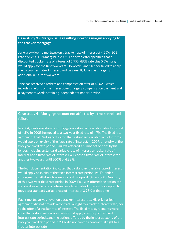#### **Case study 3 – Margin issue resulting in wrong margin applying to the tracker mortgage**

Jane drew down a mortgage on a tracker rate of interest of 4.25% (ECB rate of 3.25% + 1% margin) in 2006. The offer letter specified that a discounted tracker rate of interest of 3.75% (ECB rate plus 0.5% margin) would apply for the first two years. However, Jane's lender failed to apply the discounted rate of interest and, as a result, Jane was charged an additional 0.5% for two years.

Jane has received a redress and compensation offer of €2,021, which includes a refund of the interest overcharge, a compensation payment and a payment towards obtaining independent financial advice.

#### **Case study 4 - Mortgage account not affected by a tracker related failure**

In 2004, Paul drew down a mortgage on a standard variable rate of interest of 4.5%. In 2005, he moved to a two-year fixed rate of 4.7%. The fixed rate agreement that Paul signed stated that a standard variable rate of interest would apply on expiry of the fixed rate of interest. In 2007, on expiry of the two-year fixed rate period, Paul was offered a number of options by his lender, including a standard variable rate of interest, a tracker rate of interest and a fixed rate of interest. Paul chose a fixed rate of interest for another two years (until 2009) at 4.88%.

The loan documentation indicated that a standard variable rate of interest would apply on expiry of the fixed interest rate period. Paul's lender subsequently withdrew tracker interest rate products in 2008. On expiry of this two-year fixed rate period in 2009, Paul was offered the option of a standard variable rate of interest or a fixed rate of interest. Paul opted to move to a standard variable rate of interest of 3.98% at that time.

Paul's mortgage was never on a tracker interest rate. His original loan agreement did not provide a contractual right to a tracker interest rate, nor to the offer of a tracker rate of interest. The fixed rate agreements were clear that a standard variable rate would apply at expiry of the fixed interest rate periods, and the options offered by the lender at expiry of the two-year fixed rate period in 2007 did not confer a contractual right to a tracker interest rate.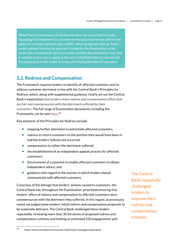When Paul became aware of the Examination, he contacted his lender regarding his entitlement to a tracker on the basis that he was offered the option of a tracker interest rate in 2007, which he did not take up. Paul's lender advised him that he was not in scope for the Examination as he never had a contractual right to a tracker and the documentation was clear in relation to the rate to apply at the end of the fixed interest rate period. The conclusion of the lender is in line with the Examination Framework.

### <span id="page-20-0"></span>**3.2. Redress and Compensation**

The Framework requires lenders to identify all affected customers and to address customer detriment in line with the Central Bank's Principles for Redress, which, along with supplemental guidance, clearly set out the Central Bank's expectation that lenders make redress and compensation offers that are fair and commensurate with the detriment suffered by their customers. The full range of Examination documents, including the Framework, can be see[n here.](https://www.centralbank.ie/consumer-hub/tracker-mortgage-examination)<sup>10</sup>

Key elements of the Principles for Redress include:

- **•** stopping further detriment to potentially affected customers;
- redress to return customers to the position they would have been in had the lenders' failures not occurred;
- **•** compensation to reflect the detriment suffered;
- the establishment of an independent appeals process for affected customers;
- the provision of a payment to enable affected customers to obtain independent advice; and
- guidance with regard to the manner in which lenders should communicate with affected customers.

Conscious of the damage that lenders' actions caused to customers, the Central Bank has, throughout the Examination, prioritised ensuring that lenders' offers of redress and compensation to affected customers were commensurate with the detriment they suffered. In this regard, as previously noted, we judged some lenders' initial redress and compensation proposals to be materially deficient. The Central Bank challenged those lenders repeatedly, reviewing more than 30 iterations of proposed redress and compensation schemes and holding an estimated 220 engagements with

1

The Central Bank repeatedly challenged lenders to improve their redress and compensation schemes

<sup>10</sup> https://www.centralbank.ie/consumer-hub/tracker-mortgage-examination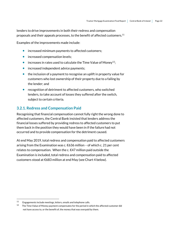lenders to drive improvements in both their redress and compensation proposals and their appeals processes, to the benefit of affected customers. $^{11}$ 

Examples of the improvements made include:

- increased minimum payments to affected customers;
- increased compensation levels;
- increases in rates used to calculate the Time Value of Money<sup>12</sup>;
- increased independent advice payments;
- $\bullet$  the inclusion of a payment to recognise an uplift in property value for customers who lost ownership of their property due to a failing by the lender; and
- recognition of detriment to affected customers, who switched lenders, to take account of losses they suffered after the switch, subject to certain criteria.

#### <span id="page-21-0"></span>**3.2.1. Redress and Compensation Paid**

Recognising that financial compensation cannot fully right the wrong done to affected customers, the Central Bank insisted that lenders address the financial losses suffered by providing redress to affected customers to put them back in the position they would have been in if the failure had not occurred and to provide compensation for the detriment caused.

At end May 2019, total redress and compensation paid to affected customers arising from the Examination was c. €636 million – of which c. 21 per cent relates to compensation. When the c. €47 million paid outside the Examination is included, total redress and compensation paid to affected customers stood at €683 million at end May (see Chart 4 below).

1

<sup>11</sup>  Engagements include meetings, letters, emails and telephone calls.

 $12$  The Time Value of Money payment compensates for the period in which the affected customer did not have access to, or the benefit of, the money that was overpaid by them.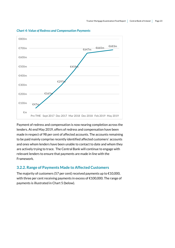

#### *Chart 4: Value of Redress and Compensation Payments*

Payment of redress and compensation is now nearing completion across the lenders. At end May 2019, offers of redress and compensation have been made in respect of 98 per cent of affected accounts. The accounts remaining to be paid mainly comprise recently identified affected customers' accounts and ones whom lenders have been unable to contact to date and whom they are actively trying to trace. The Central Bank will continue to engage with relevant lenders to ensure that payments are made in line with the Framework.

#### <span id="page-22-0"></span>**3.2.2. Range of Payments Made to Affected Customers**

The majority of customers (57 per cent) received payments up to  $\epsilon$ 10,000, with three per cent receiving payments in excess of €100,000. The range of payments is illustrated in Chart 5 (below).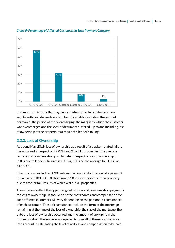

*Chart 5: Percentage of Affected Customers in Each Payment Category*

It is important to note that payments made to affected customers vary significantly and depend on a number of variables including the amount borrowed, the period of the overcharging, the margin by which the customer was overcharged and the level of detriment suffered (up to and including loss of ownership of the property as a result of a lender's failing).

#### <span id="page-23-0"></span>**3.2.3. Loss of Ownership**

As at end May 2019, loss of ownership as a result of a tracker related failure has occurred in respect of 99 PDH and 216 BTL properties. The average redress and compensation paid to date in respect of loss of ownership of PDHs due to lenders' failures is c. €194,000 and the average for BTLs is c. €162,000.

Chart 5 above includes c. 830 customer accounts which received a payment in excess of €100,000. Of this figure, 228 lost ownership of their property due to tracker failures, 75 of which were PDH properties.

These figures reflect the upper range of redress and compensation payments for loss of ownership. It should be noted that redress and compensation for such affected customers will vary depending on the personal circumstances of each customer. These circumstances include the term of the mortgage remaining at the time of the loss of ownership, the size of the mortgage, the date the loss of ownership occurred and the amount of any uplift in the property value. The lender was required to take all of these circumstances into account in calculating the level of redress and compensation to be paid.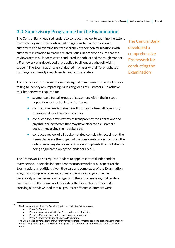## <span id="page-24-0"></span>**3.3. Supervisory Programme for the Examination**

The Central Bank required lenders to conduct a review to examine the extent to which they met their contractual obligations to tracker mortgage customers and to examine the transparency of their communications with customers in relation to tracker related issues. In order to ensure that the reviews across all lenders were conducted in a robust and thorough manner, a Framework was developed that applied to all lenders who fell within scope. <sup>13</sup> The Examination was conducted in phases with different phases running concurrently in each lender and across lenders.

The Framework requirements were designed to minimise the risk of lenders failing to identify any impacting issues or groups of customers. To achieve this, lenders were required to:

- segment and test all groups of customers within the in-scope population for tracker impacting issues;
- conduct a review to determine that they had met all regulatory requirements for tracker customers;
- conduct a top-down review of transparency considerations and any influencing factors that may have affected a customer's decision regarding their tracker; and
- conduct a review of all tracker related complaints focusing on the issues that were the subject of the complaints, as distinct from the outcomes of any decisions on tracker complaints that had already being adjudicated on by the lender or FSPO.

The Framework also required lenders to appoint external independent overseers to undertake independent assurance work for all aspects of the Examination. In addition, given the scale and complexity of the Examination, a rigorous, comprehensive and robust supervisory programme has necessarily underpinned each stage, with the aim of ensuring that lenders complied with the Framework (including the Principles for Redress) in carrying out reviews, and that all groups of affected customers were

1

The Central Bank developed a comprehensive Framework for conducting the **Examination** 

<sup>13</sup> The Framework required the Examination to be conducted in four phases: Phase 1- Planning;

Phase 2- Information Gathering/Review/Report Submission;

Phase 3 - Calculation of Redress and Compensation; and

Phase 4 - Implementation of Redress Programme.

The Examination covers all lenders who may have sold tracker mortgages in the past, including those no longer selling mortgages. It also covers mortgages that have been redeemed or switched to another lender.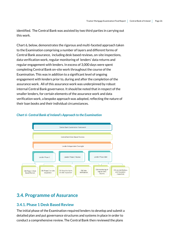identified. The Central Bank was assisted by two third parties in carrying out this work.

Chart 6, below, demonstrates the rigorous and multi-faceted approach taken to the Examination comprising a number of layers and different forms of Central Bank assurance, including desk based reviews, on-site inspections, data verification work, regular monitoring of lenders' data returns and regular engagement with lenders. In excess of 3,000 days were spent completing Central Bank on-site work throughout the course of the Examination. This was in addition to a significant level of ongoing engagement with lenders prior to, during and after the completion of the assurance work. All of this assurance work was underpinned by robust internal Central Bank governance. It should be noted that in respect of the smaller lenders, for certain elements of the assurance work and data verification work, a bespoke approach was adopted, reflecting the nature of their loan books and their individual circumstances.

#### *Chart 6- Central Bank of Ireland's Approach to the Examination*



## <span id="page-25-0"></span>**3.4. Programme of Assurance**

#### <span id="page-25-1"></span>**3.4.1. Phase 1 Desk Based Review**

The initial phase of the Examination required lenders to develop and submit a detailed plan and put governance structures and systems in place in order to conduct a comprehensive review. The Central Bank then reviewed the plans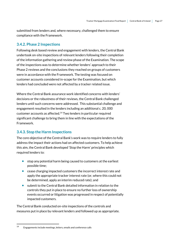submitted from lenders and, where necessary, challenged them to ensure compliance with the Framework.

#### <span id="page-26-0"></span>**3.4.2. Phase 2 Inspections**

Following desk based review and engagement with lenders, the Central Bank undertook on-site inspections of relevantlenders following their completion of the information gathering and review phase of the Examination. The scope of the inspections was to determine whether lenders' approach to their Phase 2 reviews and the conclusions they reached on groups of customers were in accordance with the Framework. The testing was focused on customer accounts considered in-scope for the Examination, but which lenders had concluded were not affected by a tracker related issue.

Where the Central Bank assurance work identified concerns with lenders' decisions or the robustness of their reviews, the Central Bank challenged lenders until such concerns were addressed. This substantial challenge and engagement resulted in the lenders including an additional c. 20, 000 customer accounts as affected.<sup>14</sup> Two lenders in particular required significant challenge to bring them in line with the expectations of the Framework.

#### <span id="page-26-1"></span>**3.4.3. Stop the Harm Inspections**

The core objective of the Central Bank's work was to require lenders to fully address the impact their actions had on affected customers. To help achieve this aim, the Central Bank developed 'Stop the Harm' principles which required lenders to:

- stop any potential harm being caused to customers at the earliest possible time;
- cease charging impacted customers the incorrect interest rate and apply the appropriate tracker interest rate (or, where this could not be determined, apply an interim reduced rate); and
- submit to the Central Bank detailed information in relation to the controls they put in place to ensure no further loss of ownership events occurred or litigation was progressed in respect of potentially impacted customers.

The Central Bank conducted on-site inspections of the controls and measures put in place by relevant lenders and followed up as appropriate.

1

<sup>14</sup> Engagements include meetings, letters, emails and conference calls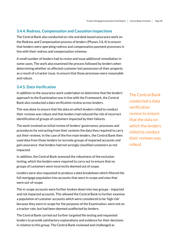#### <span id="page-27-0"></span>**3.4.4. Redress, Compensation and Causation Inspections**

The Central Bank also conducted on-site and desk based assurance work on the Redress and Compensation process of lenders (Phases 3 & 4) to ensure that lenders were operating redress and compensation payment processes in line with their redress and compensation schemes.

A small number of lenders had to revise and issue additional remediation in some cases. The work also examined the process followed by lenders when determining whether an affected customer lost possession of their property as a result of a tracker issue, to ensure that those processes were reasonable and robust.

#### <span id="page-27-1"></span>**3.4.5. Data Verification**

In addition to the assurance work undertaken to determine that the lenders' approach to the Examination was in line with the Framework, the Central Bank also conducted a data verification review across lenders.

This was done to ensure that the data on which lenders relied to conduct their reviews was robust and that lenders had reduced the risk of incorrect identification of groups of customers impacted by their failures.

The work involved an initial review of lenders' governance, processes and procedures for extracting from their systems the data they required to carry out their reviews. In the case of the five main lenders, the Central Bank then used data from those lenders to recreate groups of impacted accounts and gain assurance that lenders had not wrongly classified customers as not impacted.

In addition, the Central Bank assessed the robustness of the exclusion testing, which the lenders were required to carry out to ensure that no groups of customers were incorrectly deemed out of scope.

Lenders were also requested to produce a data breakdown which filtered the full mortgage population into accounts that were in-scope and ones that were out-of-scope.

The in-scope accounts were further broken down into two groups - impacted and not impacted accounts. This allowed the Central Bank to further examine a population of customer accounts which were considered to be 'high risk' because they were in-scope for the purposes of the Examination, were not on a tracker rate, but had been deemed unaffected by lenders.

The Central Bank carried out further targeted file testing and requested lenders to provide satisfactory explanations and evidence for their decisions in relation to this group. The Central Bank reviewed and challenged as

The Central Bank conducted a data verification review to ensure that the data on which the lenders relied to conduct their reviews was robust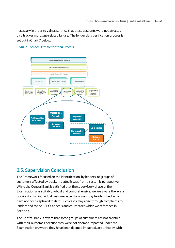necessary in order to gain assurance that these accounts were not affected by a tracker mortgage related failure. The lender data verification process is set out in Chart 7 below.

#### *Chart 7 – Lender Data Verification Process*



### <span id="page-28-0"></span>**3.5. Supervision Conclusion**

The Framework focused on the identification, by lenders, of groups of customers affected by tracker related issues from a systemic perspective. While the Central Bank is satisfied that the supervisory phase of the Examination was suitably robust and comprehensive, we are aware there is a possibility that individual customer-specific issues may be identified, which have not been captured to date. Such cases may arise through complaints to lenders and to the FSPO, appeals and court cases which we reference in Section 4.

The Central Bank is aware that some groups of customers are not satisfied with their outcomes because they were not deemed impacted under the Examination or, where they have been deemed impacted, are unhappy with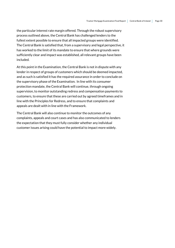the particular interest rate margin offered. Through the robust supervisory process outlined above, the Central Bank has challenged lenders to the fullest extent possible to ensure that all impacted groups were identified. The Central Bank is satisfied that, from a supervisory and legal perspective, it has worked to the limit of its mandate to ensure that where grounds were sufficiently clear and impact was established, all relevant groups have been included.

At this point in the Examination, the Central Bank is not in dispute with any lender in respect of groups of customers which should be deemed impacted, and as such is satisfied it has the required assurance in order to conclude on the supervisory phase of the Examination. In line with its consumer protection mandate, the Central Bank will continue, through ongoing supervision, to monitor outstanding redress and compensation payments to customers, to ensure that these are carried out by agreed timeframes and in line with the Principles for Redress, and to ensure that complaints and appeals are dealt with in line with the Framework.

The Central Bank will also continue to monitor the outcomes of any complaints, appeals and court cases and has also communicated to lenders the expectation that they must fully consider whether any individual customer issues arising could have the potential to impact more widely.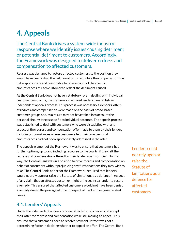## <span id="page-30-0"></span>**4. Appeals**

The Central Bank drives a system-wide industry response where we identify issues causing detriment or potential detriment to customers. Accordingly, the Framework was designed to deliver redress and compensation to affected customers.

Redress was designed to restore affected customers to the position they would have been in had the failure not occurred, while the compensation was to be appropriate and reasonable to take account of the specific circumstances of each customer to reflect the detriment caused.

As the Central Bank does not have a statutory role in dealing with individual customer complaints, the Framework required lenders to establish an independent appeals process. This process was necessary as lenders' offers of redress and compensation were made on the basis of broad-based customer groups and, as a result, may not have taken into account the personal circumstances specific to individual accounts. The appeals process was established to deal with customers who were dissatisfied with any aspect of the redress and compensation offer made to them by their lender, including circumstances where customers felt their own personal circumstances had not been appropriately addressed in the offer.

The appeals element of the Framework was to ensure that customers had further options, up to and including recourse to the courts, if they felt the redress and compensation offered by their lender was insufficient. In this way, the Central Bank was in a position to drive redress and compensation on behalf of consumers without prejudicing any further actions they may wish to take. The Central Bank, as part of the Framework, required that lenders would not rely upon or raise the Statute of Limitations as a defence in respect of any claim that an affected customer might bring against a lender to secure a remedy. This ensured that affected customers would not have been denied a remedy due to the passage of time in respect of tracker mortgage related issues.

### <span id="page-30-1"></span>**4.1. Lenders' Appeals**

Under the independent appeals process, affected customers could accept their offer for redress and compensation while still making an appeal. This ensured that a customer's need to receive payment upfront was not a determining factor in deciding whether to appeal an offer. The Central Bank Lenders could not rely upon or raise the Statute of Limitations as a defence for affected customers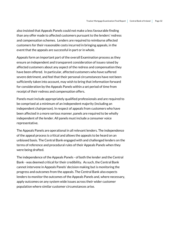also insisted that Appeals Panels could not make a less favourable finding than any offer made to affected customers pursuant to the lenders' redress and compensation schemes. Lenders are required to reimburse affected customers for their reasonable costs incurred in bringing appeals, in the event that the appeals are successful in part or in whole.

Appeals form an important part of the overall Examination process as they ensure an independent and transparent consideration of issues raised by affected customers about any aspect of the redress and compensation they have been offered. In particular, affected customers who have suffered severe detriment, and feel that their personal circumstances have not been sufficiently taken into account, may wish to bring that information forward for consideration by the Appeals Panels within a set period of time from receipt of their redress and compensation offers.

Panels must include appropriately qualified professionals and are required to be comprised at a minimum of an independent majority (including an independent chairperson). In respect of appeals from customers who have been affected in a more serious manner, panels are required to be wholly independent of the lender. All panels must include a consumer voice representative.

The Appeals Panels are operational in all relevant lenders. The independence of the appeal process is critical and allows the appeals to be heard on an unbiased basis. The Central Bank engaged with and challenged lenders on the terms of reference and procedural rules of their Appeals Panels when they were being drafted.

The independence of the Appeals Panels - of both the lender and the Central Bank - was deemed critical for their credibility. As such, the Central Bank cannot intervene in Appeals Panels' decision making but is monitoring the progress and outcomes from the appeals. The Central Bank also expects lenders to monitor the outcomes of the Appeals Panels and, where necessary, apply outcomes on any system wide issues across their wider customer population where similar customer circumstances arise.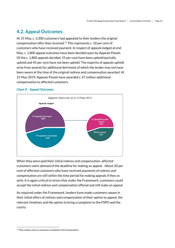## <span id="page-32-0"></span>**4.2. Appeal Outcomes**

At 31 May, c. 3,300 customers had appealed to their lenders the original compensation offer they received.<sup>15</sup> This represents c. 10 per cent of customers who have received payment. In respect of appeals lodged at end May, c. 1,800 appeal outcomes have been decided upon by Appeals Panels. Of the c. 1,800 appeals decided, 55 per cent have been upheld/partially upheld and 45 per cent have not been upheld. The majority of appeals upheld arise from awards for additional detriment of which the lender may not have been aware at the time of the original redress and compensation awarded. At 31 May 2019, Appeals Panels have awarded c. €7 million additional compensation to affected customers.

#### *Chart 8 – Appeal Outcomes*



When they were paid their initial redress and compensation, affected customers were advised of the deadline for making an appeal. About 20 per cent of affected customers who have received payments of redress and compensation are still within the time period for making appeals if they so wish. It is again critical to stress that under the Framework, customers could accept the initial redress and compensation offered and still make an appeal.

As required under the Framework, lenders have made customers aware in their initial offers of redress and compensation of their option to appeal, the relevant timelines and the option to bring a complaint to the FSPO and the courts.

<sup>.</sup> <sup>15</sup> This relates only to customers included in the Examination.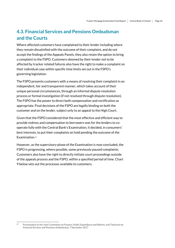## <span id="page-33-0"></span>**4.3. Financial Services and Pensions Ombudsman and the Courts**

Where affected customers have complained to their lender including where they remain dissatisfied with the outcome of their complaint, and do not accept the findings of the Appeals Panels, they also retain the option to bring a complaint to the FSPO. Customers deemed by their lender not to be affected by tracker related failures also have the right to make a complaint on their individual case within specific time limits set out in the FSPO's governing legislation.

The FSPO presents customers with a means of resolving their complaint in an independent, fair and transparent manner, which takes account of their unique personal circumstances, through an informal dispute resolution process or formal investigation (if not resolved through dispute resolution). The FSPO has the power to direct both compensation and rectification as appropriate. Final decisions of the FSPO are legally binding on both the customer and on the lender, subject only to an appeal to the High Court.

Given that the FSPO considered that the most effective and efficient way to provide redress and compensation to borrowers was for the lenders to cooperate fully with the Central Bank's Examination, it decided, in consumers' best interests, to put their complaints on hold pending the outcome of the Examination.<sup>16</sup>

However, as the supervisory phase of the Examination is now concluded, the FSPO is progressing, where possible, some previously paused complaints. Customers also have the right to directly initiate court proceedings outside of the appeals process and the FSPO, within a specified period of time. Chart 9 below sets out the processes available to customers.

<sup>1</sup> *<sup>15</sup>* Presentation to the Joint Committee on Finance, Public Expenditure and Reform, and Taoiseach by Financial Services and Pensions Ombudsman, 7 December 2017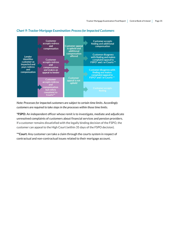

#### *Chart 9: Tracker Mortgage Examination: Process for Impacted Customers*

*Note: Processes for impacted customers are subject to certain time limits. Accordingly customers are required to take steps in the processes within those time limits.*

**\*FSPO:** An independent officer whose remit is to investigate, mediate and adjudicate unresolved complaints of customers about financial services and pension providers. If a customer remains dissatisfied with the legally binding decision of the FSPO, the customer can appeal to the High Court (within 35 days of the FSPO decision).

**\*\*Court:** Any customer can take a claim through the courts system in respect of contractual and non-contractual issues related to their mortgage account**.**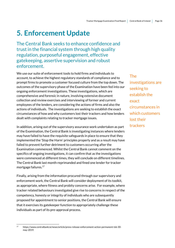## <span id="page-35-0"></span>**5. Enforcement Update**

The Central Bank seeks to enhance confidence and trust in the financial system through high quality regulation, purposeful engagement, effective gatekeeping, assertive supervision and robust enforcement.

We use our suite of enforcement tools to hold firms and individuals to account, to achieve the highest regulatory standards of compliance and to prompt firms to promote a customer focused culture from the top down. The outcomes of the supervisory phase of the Examination have been fed into our ongoing enforcement investigations. These investigations, which are comprehensive and forensic in nature, involving extensive document collection and review exercises and interviewing of former and current employees of the lenders, are considering the actions of firms and also the actions of individuals. The investigations are seeking to establish the exact circumstances of how and why customers lost their trackers and how lenders dealt with complaints relating to tracker mortgage issues.

In addition, arising out of the supervisory assurance work undertaken as part of the Examination, the Central Bank is investigating instances where lenders may have failed to have the requisite safeguards in place to ensure that they implemented the 'Stop the Harm' principles properly and as a result may have failed to prevent further detriment to customers occurring after the Examination commenced. Whilst the Central Bank cannot comment on the specifics of ongoing investigations, it can confirm that as the investigations were commenced at different times, they will conclude on different timelines. The Central Bank last month reprimanded and fined one lender for tracker mortgage failures. 17

Finally, arising from the information procured through our supervisory and enforcement work, the Central Bank will consider deployment of its toolkit, as appropriate, where fitness and probity concerns arise. For example, where tracker related behaviours investigated give rise to concerns in respect of the competency, honesty or integrity of individuals who are subsequently proposed for appointment to senior positions, the Central Bank will ensure that it exercises its gatekeeper function to appropriately challenge these individuals as part of its pre-approval process.

The investigations are seeking to establish the exact circumstances in which customers lost their trackers

<sup>1</sup> <sup>17</sup> https://www.centralbank.ie/news/article/press-release-enforcement-action-permanent-tsb-30 may-2019.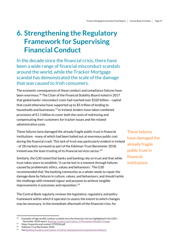## <span id="page-36-0"></span>**6. Strengthening the Regulatory Framework for Supervising Financial Conduct**

In the decade since the financial crisis, there have been a wide range of financial misconduct scandals around the world, while the Tracker Mortgage scandal has demonstrated the scale of the damage that was caused to Irish consumers.

The economic consequences of these conduct and compliance failures have been enormous. <sup>18</sup> The Chair of the Financial Stability Board noted in 2017 that global banks' misconduct costs had reached over \$320 billion – capital that could otherwise have supported up to \$5 trillion of lending to households and businesses.<sup>19</sup> In Ireland, lenders have taken combined provisions of €1.1 billion to cover both the costs of redressing and compensating their customers for tracker issues and the related administrative costs.

These failures have damaged the already fragile public trust in financial institutions - many of which had been bailed out at enormous public cost during the financial crash. This lack of trust was particularly evident in Ireland - of 28 markets surveyed as part of the Edelman Trust Barometer 2018, Ireland was the least trusting of its financial services sector. 20

Similarly, the G30 noted that banks and banking rely on trust and that while trust takes years to establish, 'it can be lost in a moment through failures caused by problematic ethics, values and behaviours.' The G30 recommended that 'the banking community as a whole needs to repair the damage done by failures in culture, values, and behaviours, and should tackle the challenge with renewed vigour and purpose to achieve tangible improvements in outcomes and reputation.'<sup>21</sup>

The Central Bank regularly reviews the legislative, regulatory and policy framework within which it operates to assess the extent to which changes may be necessary. In the immediate aftermath of the financial crisis, for

1

These failures have damaged the already fragile public trust in financial institutions

<sup>18</sup> Examples of high-profile conduct scandals since the financial crisis are highlighted in the G30's November 2018 report[: Banking Conduct and Culture, A Permanent Mindset Change](https://group30.org/images/uploads/publications/G30_Culture2018_FNL3lo-compressed.pdf)

<sup>19</sup> <sup>19</sup> https://www.bis.org/review/r170322d.pdf<br><sup>20</sup> Edelman Trust Baromater 2019

<sup>20</sup>Edelman Trust Barometer 2018.

<sup>21</sup> Se[e Banking Conduct and Culture. A Call for Sustained and Comprehensive Reform](https://group30.org/images/uploads/publications/G30_BankingConductandCulture.pdf)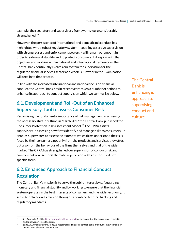example, the regulatory and supervisory frameworks were considerably strengthened.<sup>22</sup>

However, the persistence of international and domestic misconduct has highlighted why a robust regulatory system – coupling assertive supervision with strong redress and enforcement powers – will remain paramount in order to safeguard stability and to protect consumers. In keeping with that objective, and working within national and international frameworks, the Central Bank continually evolves our system for supervision for the regulated financial services sector as a whole. Our work in the Examination will feed in to that process.

In line with the increased international and national focus on financial conduct, the Central Bank has in recent years taken a number of actions to enhance its approach to conduct supervision which we summarise below.

## <span id="page-37-0"></span>**6.1. Development and Roll-Out of an Enhanced Supervisory Tool to assess Consumer Risk**

Recognising the fundamental importance of risk management in achieving the necessary shift in culture, in March 2017 the Central Bank published the Consumer Protection Risk Assessment Model. <sup>23</sup> The CPRA assists supervisors in assessing how firms identify and manage risks to consumers. It enables supervisors to assess the extent to which firms understand the risks faced by their consumers, not only from the products and services they offer, but also from the behaviour of the firms themselves and that of the wider market. The CPRA has strengthened our supervision of conduct risk and complements our sectoral thematic supervision with an intensified firmspecific focus.

## <span id="page-37-1"></span>**6.2. Enhanced Approach to Financial Conduct Regulation**

The Central Bank's mission is to serve the public interest by safeguarding monetary and financial stability and by working to ensure that the financial system operates in the best interests of consumers and the wider economy. It seeks to deliver on its mission through its combined central banking and regulatory mandates.

.

The Central Bank is enhancing is approach to supervising conduct and culture

 $22$ See Appendix 1 of the Behaviour and Culture Report for an account of the evolution of regulation and supervision since the crisis.

<sup>23</sup> https://www.centralbank.ie/news-media/press-releases/central-bank-introduces-new-consumerprotection-risk-assessment-model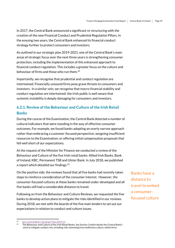In 2017, the Central Bank announced a significant re-structuring with the creation of the new Financial Conduct and Prudential Regulation Pillars. In the ensuing two years, the Central Bank enhanced its financial conduct strategy further to protect consumers and investors.

As outlined in our strategic plan 2019-2021, one of the Central Bank's main areas of strategic focus over the next three years is strengthening consumer protection, including the implementation of this enhanced approach to financial conduct regulation. This includes a greater focus on the culture and behaviour of firms and those who run them. 24

Importantly, we recognise that prudential and conduct regulation are intertwined. Financially unsound firms pose grave threats to consumers and investors. In a similar vein, we recognise that macro-financial stability and conduct regulation are intertwined: the Irish public is well aware that systemic instability is deeply damaging for consumers and investors.

### <span id="page-38-0"></span>**6.2.1. Review of the Behaviour and Culture of the Irish Retail Banks**

During the course of the Examination, the Central Bank detected a number of cultural indicators that were standing in the way of effective consumer outcomes. For example, we found banks adopting an overly narrow approach rather than embracing a customer-focused perspective; assigning insufficient resources to the Examination; or offering initial compensation proposals that fell well short of our expectations.

At the request of the Minister for Finance we conducted a review of the Behaviour and Culture of the five Irish retail banks: Allied Irish Banks, Bank of Ireland, KBC, Permanent TSB and Ulster Bank. In July 2018, we published a report which detailed our findings. 25

On the positive side, the reviews found that all five banks had recently taken steps to reinforce consideration of the consumer interest. However, the consumer-focused cultures at these banks remained under-developed and all five banks still had a considerable distance to travel.

Following on from the Behaviour and Culture Reviews, we requested the five banks to develop action plans to mitigate the risks identified in our reviews. During 2018, we met with the boards of the five main lenders to set out our expectations in relation to conduct and culture issues.

Banks have a distance to travel to embed a consumerfocused culture

<sup>1</sup> 24 [See Central Bank's Strategic Plan 2019-21](https://www.centralbank.ie/docs/default-source/publications/corporate-reports/strategic-plan/central-bank-of-ireland-strategic-plan-2019---2021.pdf?sfvrsn=5)

<sup>25</sup> The Behaviour and Culture of the Irish Retail Banks. See Section 3 which details the Central Bank's work to mitigate conduct risk, including risks stemming from ineffective culture, within firms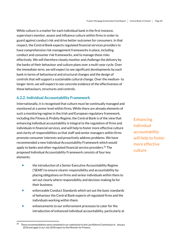While culture is a matter for each individual bank in the first instance, supervisors monitor, assess and influence culture within firms in order to guard against conduct risk and drive better outcomes for consumers. In that respect, the Central Bank expects regulated financial services providers to have comprehensive risk management frameworks in place, including conduct and consumer risk frameworks, and to manage these risks effectively. We will therefore closely monitor and challenge the delivery by the banks of their behaviour and culture plans over a multi-year cycle. Over the immediate term, we will expect to see significant developments by each bank in terms of behavioural and structural changes and the design of controls that will support a sustainable cultural change. Over the medium-to longer-term, we will expect to see concrete evidence of the effectiveness of these behaviours, structures and controls.

#### <span id="page-39-0"></span>**6.2.2. Individual Accountability Framework**

Internationally, it is recognised that culture must be continually managed and monitored at a senior level within firms. While there are already elements of such a monitoring regime in the Irish and European regulatory framework, including the Fitness & Probity Regime, the Central Bank is of the view that enhancing individual accountability is integral to the regulation of firms and individuals in financial services, and will help to foster more effective culture and clarity of responsibilities so that staff and senior managers within firms promote consumer interests and proactively address problems. We have recommended a new Individual Accountability Framework which would apply to banks and other regulated financial service providers.<sup>26</sup> The proposed Individual Accountability Framework consists of four key elements:

- the introduction of a Senior Executive Accountability Regime ('SEAR') to ensure clearer responsibility and accountability by placing obligations on firms and senior individuals within them to set out clearly where responsibility and decision-making lie for their business;
- enforceable Conduct Standards which set out the basic standards of behaviour the Central Bank expects of regulated firms and the individuals working within them;
- enhancements to our enforcement processes to cater for the introduction of enhanced individual accountability, particularly at

.

**Enhancing** individual accountability will help to foster more effective culture

<sup>&</sup>lt;sup>26</sup> These recommendations were contained in our submission to the Law Reform Commission in January 2018 and again in our July 2018 report to the Minister for Finance.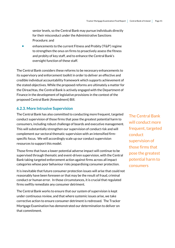senior levels, so the Central Bank may pursue individuals directly for their misconduct under the Administrative Sanctions Procedure; and

 enhancements to the current Fitness and Probity ('F&P') regime to strengthen the onus on firms to proactively assess the fitness and probity of key staff, and to enhance the Central Bank's oversight function of these staff.

The Central Bank considers these reforms to be necessary enhancements to its supervisory and enforcement toolkit in order to deliver an effective and credible individual accountability framework which supports achievement of the stated objectives. While the proposed reforms are ultimately a matter for the Oireachtas, the Central Bank is actively engaged with the Department of Finance in the development of legislative provisions in the context of the proposed Central Bank (Amendment) Bill.

#### <span id="page-40-0"></span>**6.2.3. More Intrusive Supervision**

The Central Bank has also committed to conducting more frequent, targeted conduct supervision of those firms that pose the greatest potential harm to consumers, including robust challenge of boards and executive management. This will substantially strengthen our supervision of conduct risk and will complement our sectoral thematic supervision with an intensified firmspecific focus. We will accordingly scale up our conduct supervision resources to support this model.

Those firms that have a lower potential adverse impact will continue to be supervised through thematic and event-driven supervision, with the Central Bank taking targeted enforcement action against firms across all impact categories whose poor behaviour risks jeopardising consumer protection.

It is inevitable that future consumer protection issues will arise that could not reasonably have been foreseen or that may be the result of fraud, criminal conduct or human error. In those circumstances, it is crucial that regulated firms swiftly remediate any consumer detriment.

The Central Bank works to ensure that our system of supervision is kept under continuous review, and that where systemic issues arise, we take corrective action to ensure consumer detriment is redressed. The Tracker Mortgage Examination has demonstrated our determination to deliver on that commitment.

The Central Bank will conduct more frequent, targeted conduct supervision of those firms that pose the greatest potential harm to consumers